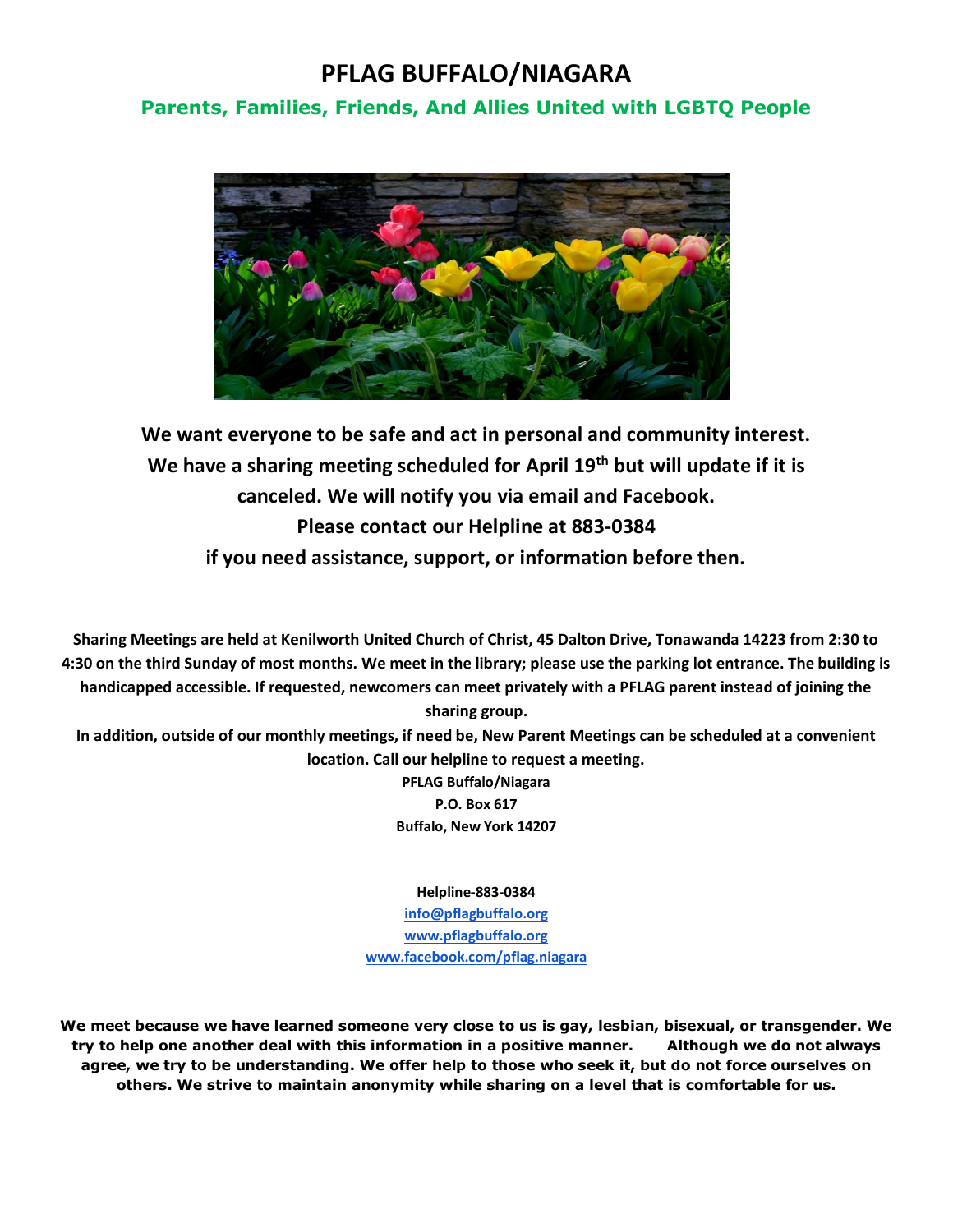## **PFLAG BUFFALO/NIAGARA**

## **Parents, Families, Friends, And Allies United with LGBTQ People**



**We want everyone to be safe and act in personal and community interest. We have a sharing meeting scheduled for April 19th but will update if it is canceled. We will notify you via email and Facebook. Please contact our Helpline at 883-0384 if you need assistance, support, or information before then.**

**Sharing Meetings are held at Kenilworth United Church of Christ, 45 Dalton Drive, Tonawanda 14223 from 2:30 to 4:30 on the third Sunday of most months. We meet in the library; please use the parking lot entrance. The building is handicapped accessible. If requested, newcomers can meet privately with a PFLAG parent instead of joining the sharing group.**

**In addition, outside of our monthly meetings, if need be, New Parent Meetings can be scheduled at a convenient location. Call our helpline to request a meeting.**

> **PFLAG Buffalo/Niagara P.O. Box 617 Buffalo, New York 14207**

**Helpline-883-0384 [info@pflagbuffalo.org](mailto:info@pflagbuffalo.org) [www.pflagbuffalo.org](http://www.pflagbuffalo.org/) [www.facebook.com/pflag.niagara](http://www.facebook.com/pflag.niagara)**

**We meet because we have learned someone very close to us is gay, lesbian, bisexual, or transgender. We try to help one another deal with this information in a positive manner. Although we do not always agree, we try to be understanding. We offer help to those who seek it, but do not force ourselves on others. We strive to maintain anonymity while sharing on a level that is comfortable for us.**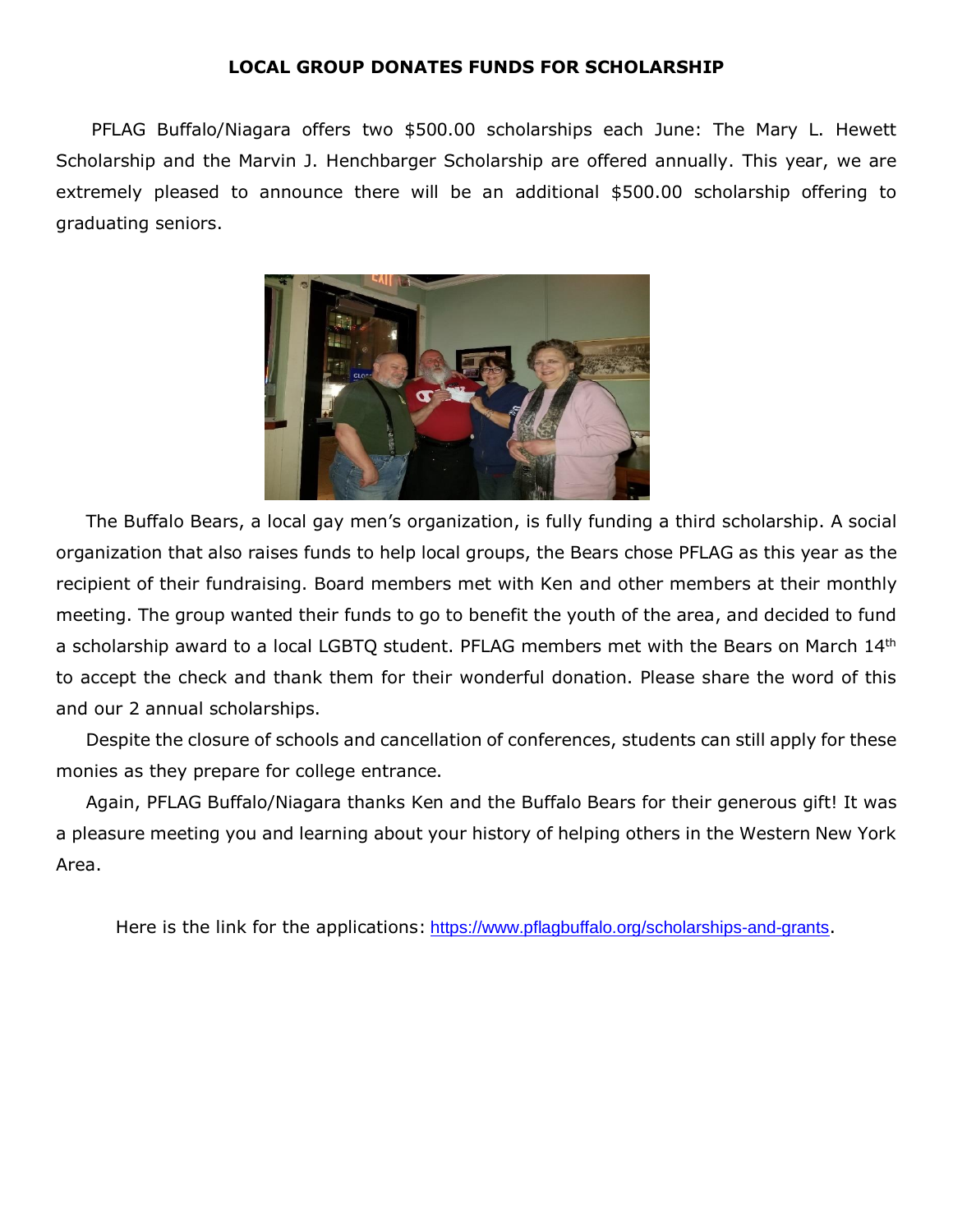## **LOCAL GROUP DONATES FUNDS FOR SCHOLARSHIP**

PFLAG Buffalo/Niagara offers two \$500.00 scholarships each June: The Mary L. Hewett Scholarship and the Marvin J. Henchbarger Scholarship are offered annually. This year, we are extremely pleased to announce there will be an additional \$500.00 scholarship offering to graduating seniors.



 The Buffalo Bears, a local gay men's organization, is fully funding a third scholarship. A social organization that also raises funds to help local groups, the Bears chose PFLAG as this year as the recipient of their fundraising. Board members met with Ken and other members at their monthly meeting. The group wanted their funds to go to benefit the youth of the area, and decided to fund a scholarship award to a local LGBTQ student. PFLAG members met with the Bears on March 14th to accept the check and thank them for their wonderful donation. Please share the word of this and our 2 annual scholarships.

 Despite the closure of schools and cancellation of conferences, students can still apply for these monies as they prepare for college entrance.

 Again, PFLAG Buffalo/Niagara thanks Ken and the Buffalo Bears for their generous gift! It was a pleasure meeting you and learning about your history of helping others in the Western New York Area.

Here is the link for the applications: <https://www.pflagbuffalo.org/scholarships-and-grants>.